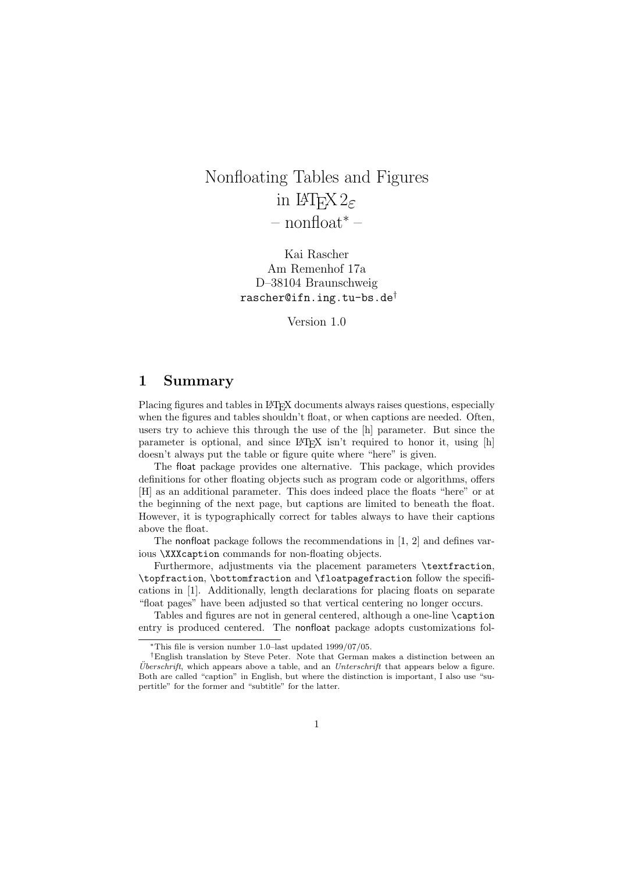# Nonfloating Tables and Figures in  $\text{LFT} \times 2 \epsilon$ – nonfloat<sup>∗</sup> –

Kai Rascher Am Remenhof 17a D–38104 Braunschweig rascher@ifn.ing.tu-bs.de†

Version 1.0

## 1 Summary

Placing figures and tables in LATEX documents always raises questions, especially when the figures and tables shouldn't float, or when captions are needed. Often, users try to achieve this through the use of the [h] parameter. But since the parameter is optional, and since LAT<sub>EX</sub> isn't required to honor it, using [h] doesn't always put the table or figure quite where "here" is given.

The float package provides one alternative. This package, which provides definitions for other floating objects such as program code or algorithms, offers [H] as an additional parameter. This does indeed place the floats "here" or at the beginning of the next page, but captions are limited to beneath the float. However, it is typographically correct for tables always to have their captions above the float.

The nonfloat package follows the recommendations in [1, 2] and defines various \XXXcaption commands for non-floating objects.

Furthermore, adjustments via the placement parameters \textfraction, \topfraction, \bottomfraction and \floatpagefraction follow the specifications in [1]. Additionally, length declarations for placing floats on separate "float pages" have been adjusted so that vertical centering no longer occurs.

Tables and figures are not in general centered, although a one-line \caption entry is produced centered. The nonfloat package adopts customizations fol-

<sup>∗</sup>This file is version number 1.0–last updated 1999/07/05.

<sup>†</sup>English translation by Steve Peter. Note that German makes a distinction between an  $Überschrift$ , which appears above a table, and an *Unterschrift* that appears below a figure. Both are called "caption" in English, but where the distinction is important, I also use "supertitle" for the former and "subtitle" for the latter.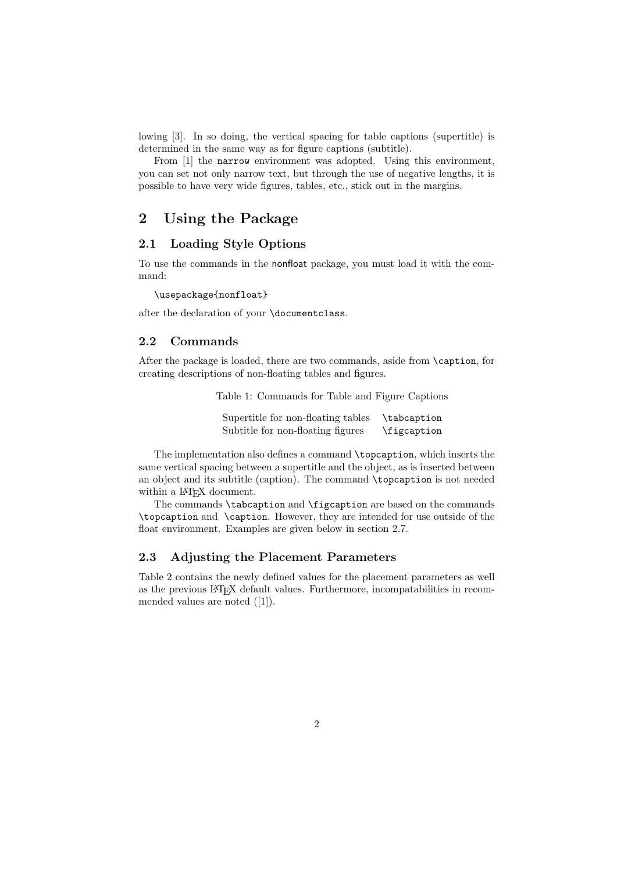lowing [3]. In so doing, the vertical spacing for table captions (supertitle) is determined in the same way as for figure captions (subtitle).

From [1] the narrow environment was adopted. Using this environment, you can set not only narrow text, but through the use of negative lengths, it is possible to have very wide figures, tables, etc., stick out in the margins.

### 2 Using the Package

#### 2.1 Loading Style Options

To use the commands in the nonfloat package, you must load it with the command:

\usepackage{nonfloat}

after the declaration of your \documentclass.

#### 2.2 Commands

After the package is loaded, there are two commands, aside from \caption, for creating descriptions of non-floating tables and figures.

Table 1: Commands for Table and Figure Captions

Supertitle for non-floating tables \tabcaption Subtitle for non-floating figures \figcaption

The implementation also defines a command \topcaption, which inserts the same vertical spacing between a supertitle and the object, as is inserted between an object and its subtitle (caption). The command \topcaption is not needed within a IATEX document.

The commands \tabcaption and \figcaption are based on the commands \topcaption and \caption. However, they are intended for use outside of the float environment. Examples are given below in section 2.7.

#### 2.3 Adjusting the Placement Parameters

Table 2 contains the newly defined values for the placement parameters as well as the previous LATEX default values. Furthermore, incompatabilities in recommended values are noted ([1]).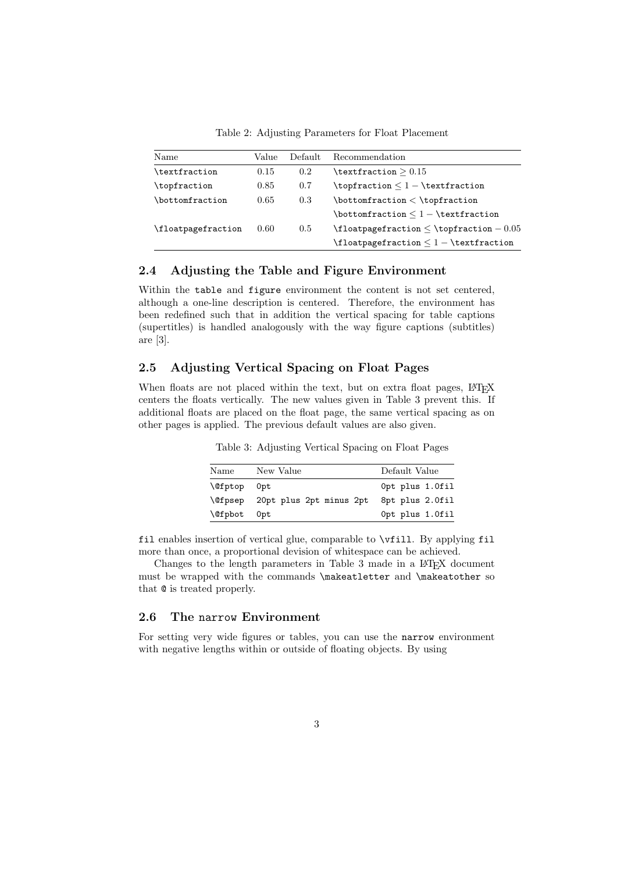Table 2: Adjusting Parameters for Float Placement

| Name               | Value | Default | Recommendation                                       |
|--------------------|-------|---------|------------------------------------------------------|
| \textfraction      | 0.15  | 0.2     | $\texttt{textion} > 0.15$                            |
| \topfraction       | 0.85  | 0.7     |                                                      |
| \bottomfraction    | 0.65  | 0.3     | $\bot$ topfraction $\lt$ $\top$ raction              |
|                    |       |         | $\bot$ tonfraction $\leq$ 1 - $\text{traction}$      |
| \floatpagefraction | 0.60  | 0.5     | $\theta$ \floatpagefraction $<$ \topfraction $-0.05$ |
|                    |       |         |                                                      |

#### 2.4 Adjusting the Table and Figure Environment

Within the table and figure environment the content is not set centered. although a one-line description is centered. Therefore, the environment has been redefined such that in addition the vertical spacing for table captions (supertitles) is handled analogously with the way figure captions (subtitles) are [3].

#### 2.5 Adjusting Vertical Spacing on Float Pages

When floats are not placed within the text, but on extra float pages, LATEX centers the floats vertically. The new values given in Table 3 prevent this. If additional floats are placed on the float page, the same vertical spacing as on other pages is applied. The previous default values are also given.

Table 3: Adjusting Vertical Spacing on Float Pages

| Name               | New Value               | Default Value   |
|--------------------|-------------------------|-----------------|
| <b>\@fptop</b> Opt |                         | Opt plus 1.0fil |
| <b>\@fpsep</b>     | 20pt plus 2pt minus 2pt | 8pt plus 2.0fil |
| <b>\@fpbot</b> Opt |                         | Opt plus 1.0fil |

fil enables insertion of vertical glue, comparable to \vfill. By applying fil more than once, a proportional devision of whitespace can be achieved.

Changes to the length parameters in Table 3 made in a L<sup>AT</sup>EX document must be wrapped with the commands \makeatletter and \makeatother so that @ is treated properly.

#### 2.6 The narrow Environment

For setting very wide figures or tables, you can use the narrow environment with negative lengths within or outside of floating objects. By using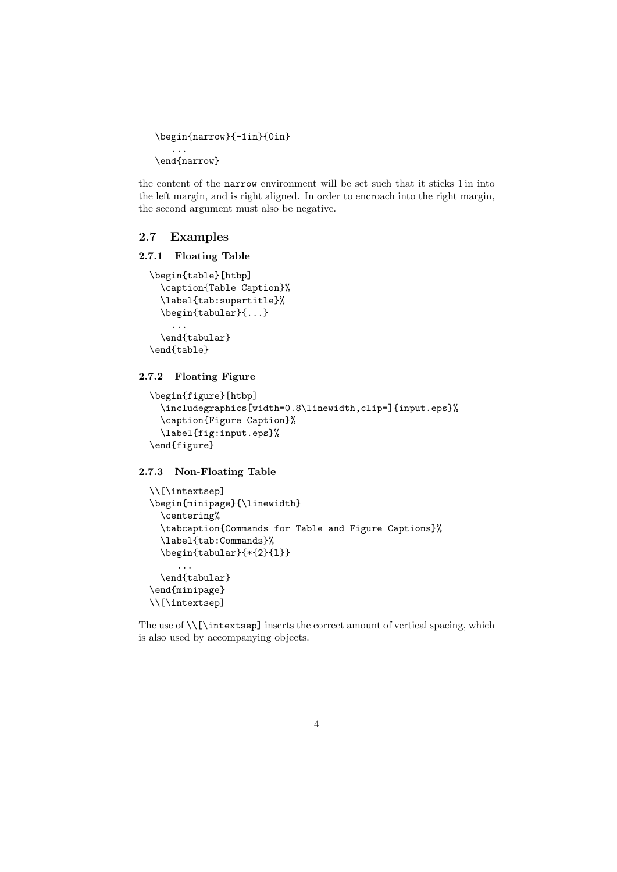```
\begin{narrow}{-1in}{0in}
   ...
\end{narrow}
```
the content of the narrow environment will be set such that it sticks 1 in into the left margin, and is right aligned. In order to encroach into the right margin, the second argument must also be negative.

#### 2.7 Examples

#### 2.7.1 Floating Table

```
\begin{table}[htbp]
  \caption{Table Caption}%
  \label{tab:supertitle}%
  \begin{tabular}{...}
    ...
  \end{tabular}
```
\end{table}

#### 2.7.2 Floating Figure

```
\begin{figure}[htbp]
  \includegraphics[width=0.8\linewidth,clip=]{input.eps}%
  \caption{Figure Caption}%
  \label{fig:input.eps}%
\end{figure}
```
2.7.3 Non-Floating Table

```
\\[\intextsep]
\begin{minipage}{\linewidth}
  \centering%
  \tabcaption{Commands for Table and Figure Captions}%
  \label{tab:Commands}%
  \begin{tabular}{*{2}{l}}
     ...
  \end{tabular}
\end{minipage}
\\[\intextsep]
```
The use of  $\{\int \text{interstep}\}$  inserts the correct amount of vertical spacing, which is also used by accompanying objects.